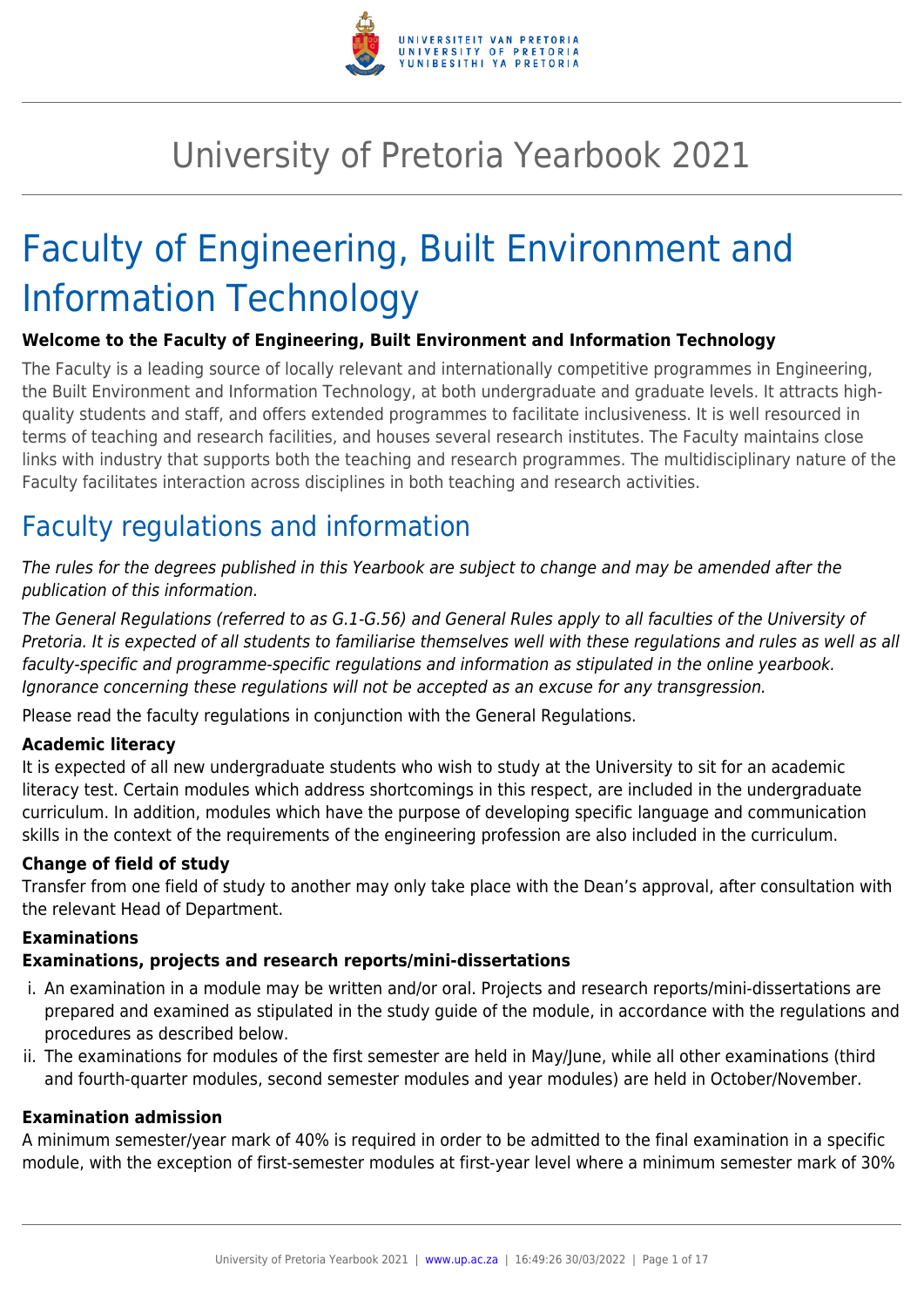

# University of Pretoria Yearbook 2021

# Faculty of Engineering, Built Environment and Information Technology

# **Welcome to the Faculty of Engineering, Built Environment and Information Technology**

The Faculty is a leading source of locally relevant and internationally competitive programmes in Engineering, the Built Environment and Information Technology, at both undergraduate and graduate levels. It attracts highquality students and staff, and offers extended programmes to facilitate inclusiveness. It is well resourced in terms of teaching and research facilities, and houses several research institutes. The Faculty maintains close links with industry that supports both the teaching and research programmes. The multidisciplinary nature of the Faculty facilitates interaction across disciplines in both teaching and research activities.

# Faculty regulations and information

The rules for the degrees published in this Yearbook are subject to change and may be amended after the publication of this information.

The General Regulations (referred to as G.1-G.56) and General Rules apply to all faculties of the University of Pretoria. It is expected of all students to familiarise themselves well with these regulations and rules as well as all faculty-specific and programme-specific regulations and information as stipulated in the online yearbook. Ignorance concerning these regulations will not be accepted as an excuse for any transgression.

Please read the faculty regulations in conjunction with the General Regulations.

# **Academic literacy**

It is expected of all new undergraduate students who wish to study at the University to sit for an academic literacy test. Certain modules which address shortcomings in this respect, are included in the undergraduate curriculum. In addition, modules which have the purpose of developing specific language and communication skills in the context of the requirements of the engineering profession are also included in the curriculum.

# **Change of field of study**

Transfer from one field of study to another may only take place with the Dean's approval, after consultation with the relevant Head of Department.

#### **Examinations**

#### **Examinations, projects and research reports/mini-dissertations**

- i. An examination in a module may be written and/or oral. Projects and research reports/mini-dissertations are prepared and examined as stipulated in the study guide of the module, in accordance with the regulations and procedures as described below.
- ii. The examinations for modules of the first semester are held in May/June, while all other examinations (third and fourth-quarter modules, second semester modules and year modules) are held in October/November.

#### **Examination admission**

A minimum semester/year mark of 40% is required in order to be admitted to the final examination in a specific module, with the exception of first-semester modules at first-year level where a minimum semester mark of 30%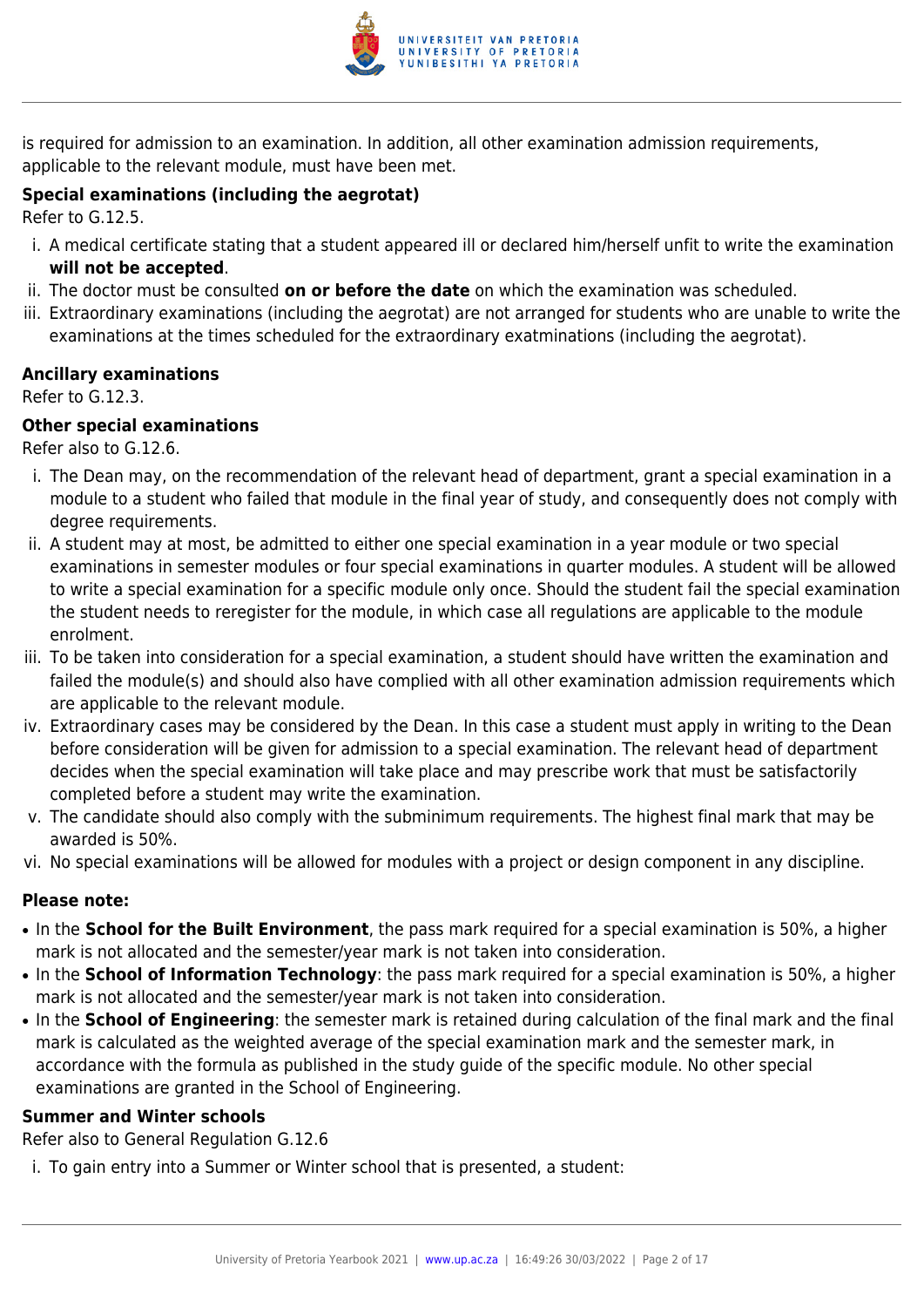

is required for admission to an examination. In addition, all other examination admission requirements, applicable to the relevant module, must have been met.

# **Special examinations (including the aegrotat)**

Refer to G.12.5.

- i. A medical certificate stating that a student appeared ill or declared him/herself unfit to write the examination **will not be accepted**.
- ii. The doctor must be consulted **on or before the date** on which the examination was scheduled.
- iii. Extraordinary examinations (including the aegrotat) are not arranged for students who are unable to write the examinations at the times scheduled for the extraordinary exatminations (including the aegrotat).

#### **Ancillary examinations**

Refer to G.12.3.

# **Other special examinations**

Refer also to G.12.6.

- i. The Dean may, on the recommendation of the relevant head of department, grant a special examination in a module to a student who failed that module in the final year of study, and consequently does not comply with degree requirements.
- ii. A student may at most, be admitted to either one special examination in a year module or two special examinations in semester modules or four special examinations in quarter modules. A student will be allowed to write a special examination for a specific module only once. Should the student fail the special examination the student needs to reregister for the module, in which case all regulations are applicable to the module enrolment.
- iii. To be taken into consideration for a special examination, a student should have written the examination and failed the module(s) and should also have complied with all other examination admission requirements which are applicable to the relevant module.
- iv. Extraordinary cases may be considered by the Dean. In this case a student must apply in writing to the Dean before consideration will be given for admission to a special examination. The relevant head of department decides when the special examination will take place and may prescribe work that must be satisfactorily completed before a student may write the examination.
- v. The candidate should also comply with the subminimum requirements. The highest final mark that may be awarded is 50%.
- vi. No special examinations will be allowed for modules with a project or design component in any discipline.

#### **Please note:**

- In the **School for the Built Environment**, the pass mark required for a special examination is 50%, a higher mark is not allocated and the semester/year mark is not taken into consideration.
- In the **School of Information Technology**: the pass mark required for a special examination is 50%, a higher mark is not allocated and the semester/year mark is not taken into consideration.
- In the **School of Engineering**: the semester mark is retained during calculation of the final mark and the final mark is calculated as the weighted average of the special examination mark and the semester mark, in accordance with the formula as published in the study guide of the specific module. No other special examinations are granted in the School of Engineering.

# **Summer and Winter schools**

Refer also to General Regulation G.12.6

i. To gain entry into a Summer or Winter school that is presented, a student: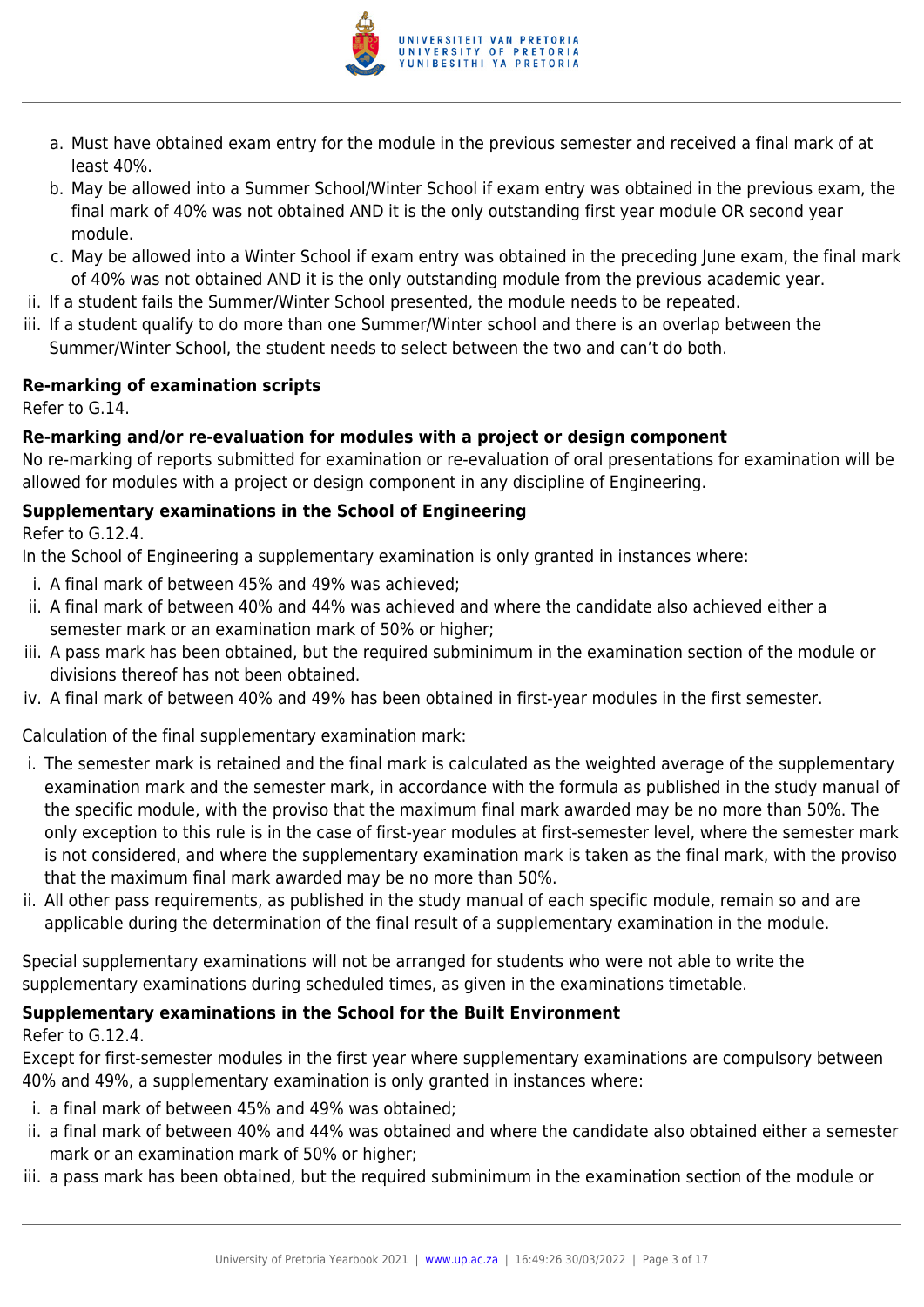

- a. Must have obtained exam entry for the module in the previous semester and received a final mark of at least 40%.
- b. May be allowed into a Summer School/Winter School if exam entry was obtained in the previous exam, the final mark of 40% was not obtained AND it is the only outstanding first year module OR second year module.
- c. May be allowed into a Winter School if exam entry was obtained in the preceding June exam, the final mark of 40% was not obtained AND it is the only outstanding module from the previous academic year.
- ii. If a student fails the Summer/Winter School presented, the module needs to be repeated.
- iii. If a student qualify to do more than one Summer/Winter school and there is an overlap between the Summer/Winter School, the student needs to select between the two and can't do both.

### **Re-marking of examination scripts**

Refer to G.14.

### **Re-marking and/or re-evaluation for modules with a project or design component**

No re-marking of reports submitted for examination or re-evaluation of oral presentations for examination will be allowed for modules with a project or design component in any discipline of Engineering.

### **Supplementary examinations in the School of Engineering**

Refer to G.12.4.

In the School of Engineering a supplementary examination is only granted in instances where:

- i. A final mark of between 45% and 49% was achieved;
- ii. A final mark of between 40% and 44% was achieved and where the candidate also achieved either a semester mark or an examination mark of 50% or higher;
- iii. A pass mark has been obtained, but the required subminimum in the examination section of the module or divisions thereof has not been obtained.
- iv. A final mark of between 40% and 49% has been obtained in first-year modules in the first semester.

Calculation of the final supplementary examination mark:

- i. The semester mark is retained and the final mark is calculated as the weighted average of the supplementary examination mark and the semester mark, in accordance with the formula as published in the study manual of the specific module, with the proviso that the maximum final mark awarded may be no more than 50%. The only exception to this rule is in the case of first-year modules at first-semester level, where the semester mark is not considered, and where the supplementary examination mark is taken as the final mark, with the proviso that the maximum final mark awarded may be no more than 50%.
- ii. All other pass requirements, as published in the study manual of each specific module, remain so and are applicable during the determination of the final result of a supplementary examination in the module.

Special supplementary examinations will not be arranged for students who were not able to write the supplementary examinations during scheduled times, as given in the examinations timetable.

# **Supplementary examinations in the School for the Built Environment**

Refer to G.12.4.

Except for first-semester modules in the first year where supplementary examinations are compulsory between 40% and 49%, a supplementary examination is only granted in instances where:

- i. a final mark of between 45% and 49% was obtained;
- ii. a final mark of between 40% and 44% was obtained and where the candidate also obtained either a semester mark or an examination mark of 50% or higher;
- iii. a pass mark has been obtained, but the required subminimum in the examination section of the module or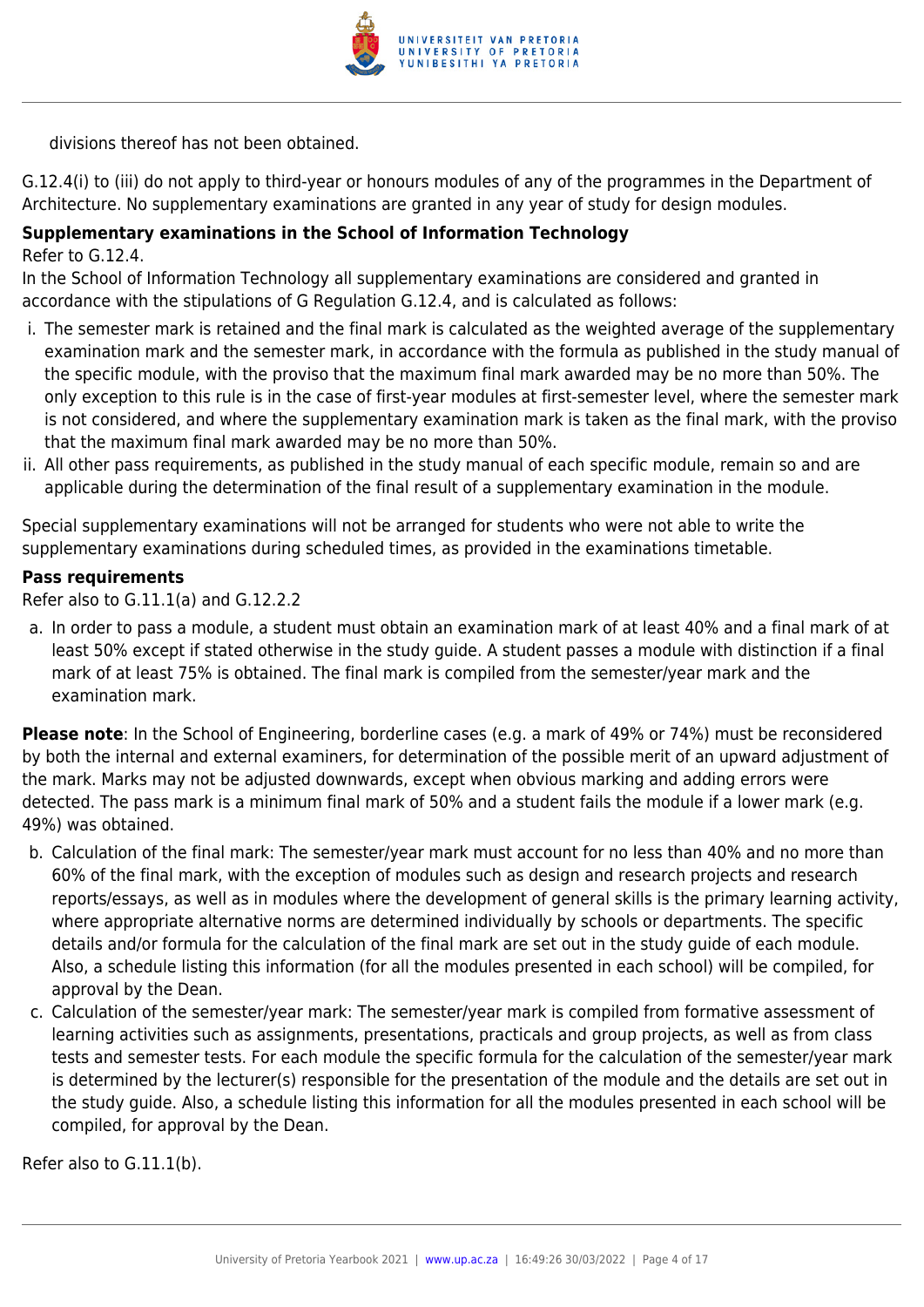

divisions thereof has not been obtained.

G.12.4(i) to (iii) do not apply to third-year or honours modules of any of the programmes in the Department of Architecture. No supplementary examinations are granted in any year of study for design modules.

## **Supplementary examinations in the School of Information Technology**

Refer to G.12.4.

In the School of Information Technology all supplementary examinations are considered and granted in accordance with the stipulations of G Regulation G.12.4, and is calculated as follows:

- i. The semester mark is retained and the final mark is calculated as the weighted average of the supplementary examination mark and the semester mark, in accordance with the formula as published in the study manual of the specific module, with the proviso that the maximum final mark awarded may be no more than 50%. The only exception to this rule is in the case of first-year modules at first-semester level, where the semester mark is not considered, and where the supplementary examination mark is taken as the final mark, with the proviso that the maximum final mark awarded may be no more than 50%.
- ii. All other pass requirements, as published in the study manual of each specific module, remain so and are applicable during the determination of the final result of a supplementary examination in the module.

Special supplementary examinations will not be arranged for students who were not able to write the supplementary examinations during scheduled times, as provided in the examinations timetable.

### **Pass requirements**

Refer also to G.11.1(a) and G.12.2.2

a. In order to pass a module, a student must obtain an examination mark of at least 40% and a final mark of at least 50% except if stated otherwise in the study guide. A student passes a module with distinction if a final mark of at least 75% is obtained. The final mark is compiled from the semester/year mark and the examination mark.

**Please note**: In the School of Engineering, borderline cases (e.g. a mark of 49% or 74%) must be reconsidered by both the internal and external examiners, for determination of the possible merit of an upward adjustment of the mark. Marks may not be adjusted downwards, except when obvious marking and adding errors were detected. The pass mark is a minimum final mark of 50% and a student fails the module if a lower mark (e.g. 49%) was obtained.

- b. Calculation of the final mark: The semester/year mark must account for no less than 40% and no more than 60% of the final mark, with the exception of modules such as design and research projects and research reports/essays, as well as in modules where the development of general skills is the primary learning activity, where appropriate alternative norms are determined individually by schools or departments. The specific details and/or formula for the calculation of the final mark are set out in the study guide of each module. Also, a schedule listing this information (for all the modules presented in each school) will be compiled, for approval by the Dean.
- c. Calculation of the semester/year mark: The semester/year mark is compiled from formative assessment of learning activities such as assignments, presentations, practicals and group projects, as well as from class tests and semester tests. For each module the specific formula for the calculation of the semester/year mark is determined by the lecturer(s) responsible for the presentation of the module and the details are set out in the study guide. Also, a schedule listing this information for all the modules presented in each school will be compiled, for approval by the Dean.

Refer also to G.11.1(b).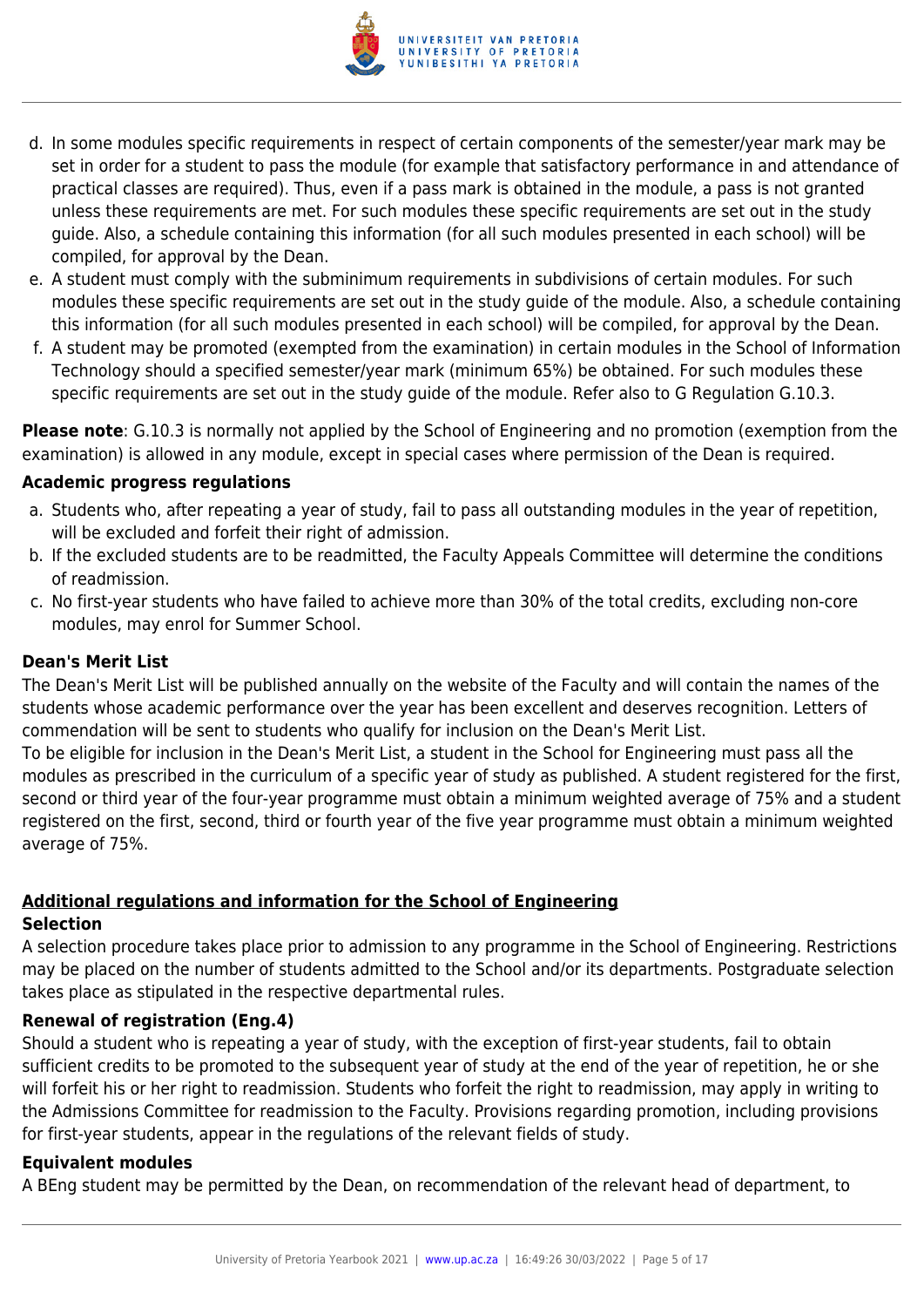

- d. In some modules specific requirements in respect of certain components of the semester/year mark may be set in order for a student to pass the module (for example that satisfactory performance in and attendance of practical classes are required). Thus, even if a pass mark is obtained in the module, a pass is not granted unless these requirements are met. For such modules these specific requirements are set out in the study guide. Also, a schedule containing this information (for all such modules presented in each school) will be compiled, for approval by the Dean.
- e. A student must comply with the subminimum requirements in subdivisions of certain modules. For such modules these specific requirements are set out in the study guide of the module. Also, a schedule containing this information (for all such modules presented in each school) will be compiled, for approval by the Dean.
- f. A student may be promoted (exempted from the examination) in certain modules in the School of Information Technology should a specified semester/year mark (minimum 65%) be obtained. For such modules these specific requirements are set out in the study guide of the module. Refer also to G Regulation G.10.3.

**Please note**: G.10.3 is normally not applied by the School of Engineering and no promotion (exemption from the examination) is allowed in any module, except in special cases where permission of the Dean is required.

#### **Academic progress regulations**

- a. Students who, after repeating a year of study, fail to pass all outstanding modules in the year of repetition, will be excluded and forfeit their right of admission.
- b. If the excluded students are to be readmitted, the Faculty Appeals Committee will determine the conditions of readmission.
- c. No first-year students who have failed to achieve more than 30% of the total credits, excluding non-core modules, may enrol for Summer School.

#### **Dean's Merit List**

The Dean's Merit List will be published annually on the website of the Faculty and will contain the names of the students whose academic performance over the year has been excellent and deserves recognition. Letters of commendation will be sent to students who qualify for inclusion on the Dean's Merit List.

To be eligible for inclusion in the Dean's Merit List, a student in the School for Engineering must pass all the modules as prescribed in the curriculum of a specific year of study as published. A student registered for the first, second or third year of the four-year programme must obtain a minimum weighted average of 75% and a student registered on the first, second, third or fourth year of the five year programme must obtain a minimum weighted average of 75%.

#### **Additional regulations and information for the School of Engineering Selection**

A selection procedure takes place prior to admission to any programme in the School of Engineering. Restrictions may be placed on the number of students admitted to the School and/or its departments. Postgraduate selection takes place as stipulated in the respective departmental rules.

#### **Renewal of registration (Eng.4)**

Should a student who is repeating a year of study, with the exception of first-year students, fail to obtain sufficient credits to be promoted to the subsequent year of study at the end of the year of repetition, he or she will forfeit his or her right to readmission. Students who forfeit the right to readmission, may apply in writing to the Admissions Committee for readmission to the Faculty. Provisions regarding promotion, including provisions for first-year students, appear in the regulations of the relevant fields of study.

#### **Equivalent modules**

A BEng student may be permitted by the Dean, on recommendation of the relevant head of department, to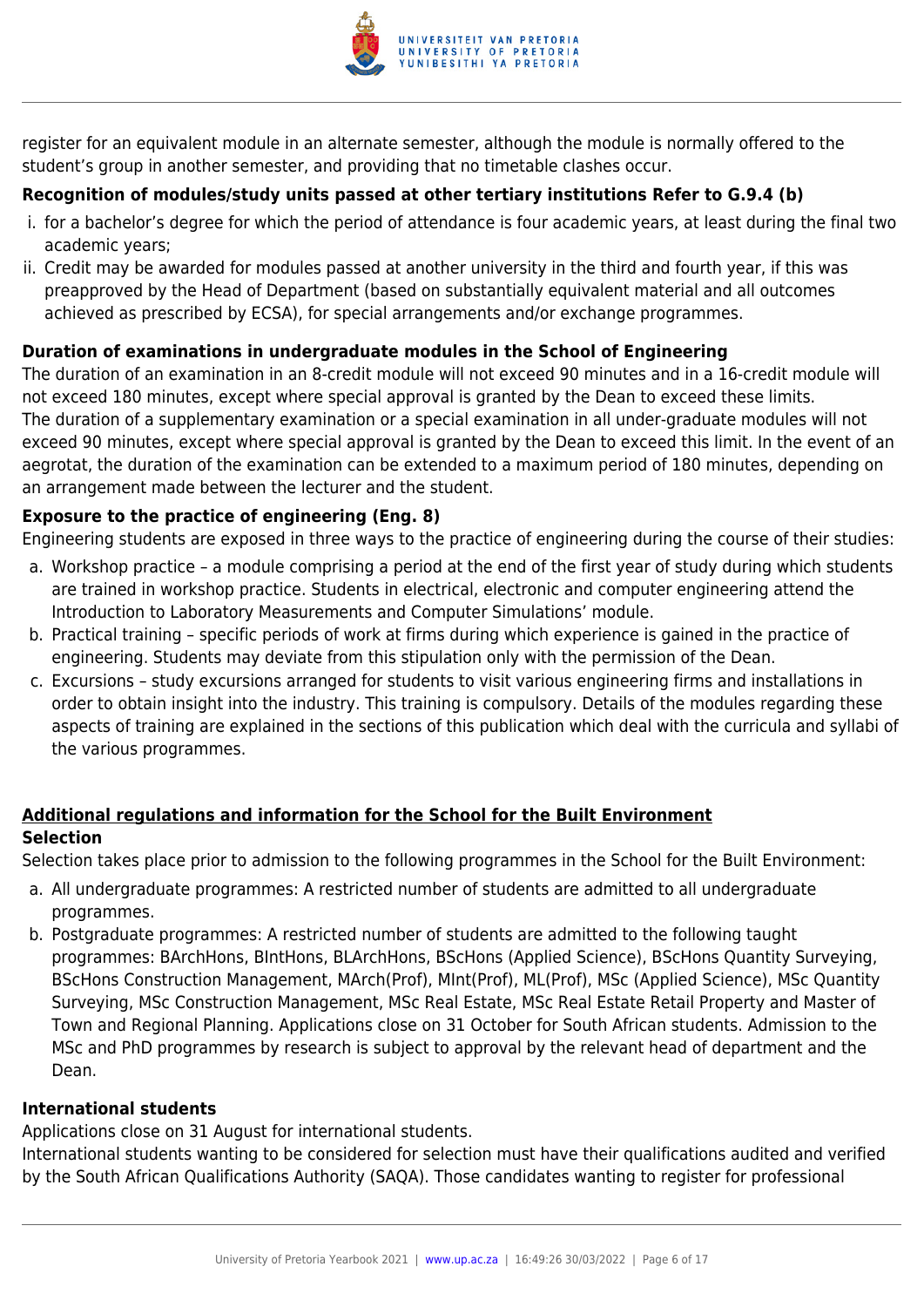

register for an equivalent module in an alternate semester, although the module is normally offered to the student's group in another semester, and providing that no timetable clashes occur.

# **Recognition of modules/study units passed at other tertiary institutions Refer to G.9.4 (b)**

- i. for a bachelor's degree for which the period of attendance is four academic years, at least during the final two academic years;
- ii. Credit may be awarded for modules passed at another university in the third and fourth year, if this was preapproved by the Head of Department (based on substantially equivalent material and all outcomes achieved as prescribed by ECSA), for special arrangements and/or exchange programmes.

# **Duration of examinations in undergraduate modules in the School of Engineering**

The duration of an examination in an 8-credit module will not exceed 90 minutes and in a 16-credit module will not exceed 180 minutes, except where special approval is granted by the Dean to exceed these limits. The duration of a supplementary examination or a special examination in all under-graduate modules will not exceed 90 minutes, except where special approval is granted by the Dean to exceed this limit. In the event of an aegrotat, the duration of the examination can be extended to a maximum period of 180 minutes, depending on an arrangement made between the lecturer and the student.

# **Exposure to the practice of engineering (Eng. 8)**

Engineering students are exposed in three ways to the practice of engineering during the course of their studies:

- a. Workshop practice a module comprising a period at the end of the first year of study during which students are trained in workshop practice. Students in electrical, electronic and computer engineering attend the Introduction to Laboratory Measurements and Computer Simulations' module.
- b. Practical training specific periods of work at firms during which experience is gained in the practice of engineering. Students may deviate from this stipulation only with the permission of the Dean.
- c. Excursions study excursions arranged for students to visit various engineering firms and installations in order to obtain insight into the industry. This training is compulsory. Details of the modules regarding these aspects of training are explained in the sections of this publication which deal with the curricula and syllabi of the various programmes.

# **Additional regulations and information for the School for the Built Environment Selection**

Selection takes place prior to admission to the following programmes in the School for the Built Environment:

- a. All undergraduate programmes: A restricted number of students are admitted to all undergraduate programmes.
- b. Postgraduate programmes: A restricted number of students are admitted to the following taught programmes: BArchHons, BIntHons, BLArchHons, BScHons (Applied Science), BScHons Quantity Surveying, BScHons Construction Management, MArch(Prof), MInt(Prof), ML(Prof), MSc (Applied Science), MSc Quantity Surveying, MSc Construction Management, MSc Real Estate, MSc Real Estate Retail Property and Master of Town and Regional Planning. Applications close on 31 October for South African students. Admission to the MSc and PhD programmes by research is subject to approval by the relevant head of department and the Dean.

# **International students**

Applications close on 31 August for international students.

International students wanting to be considered for selection must have their qualifications audited and verified by the South African Qualifications Authority (SAQA). Those candidates wanting to register for professional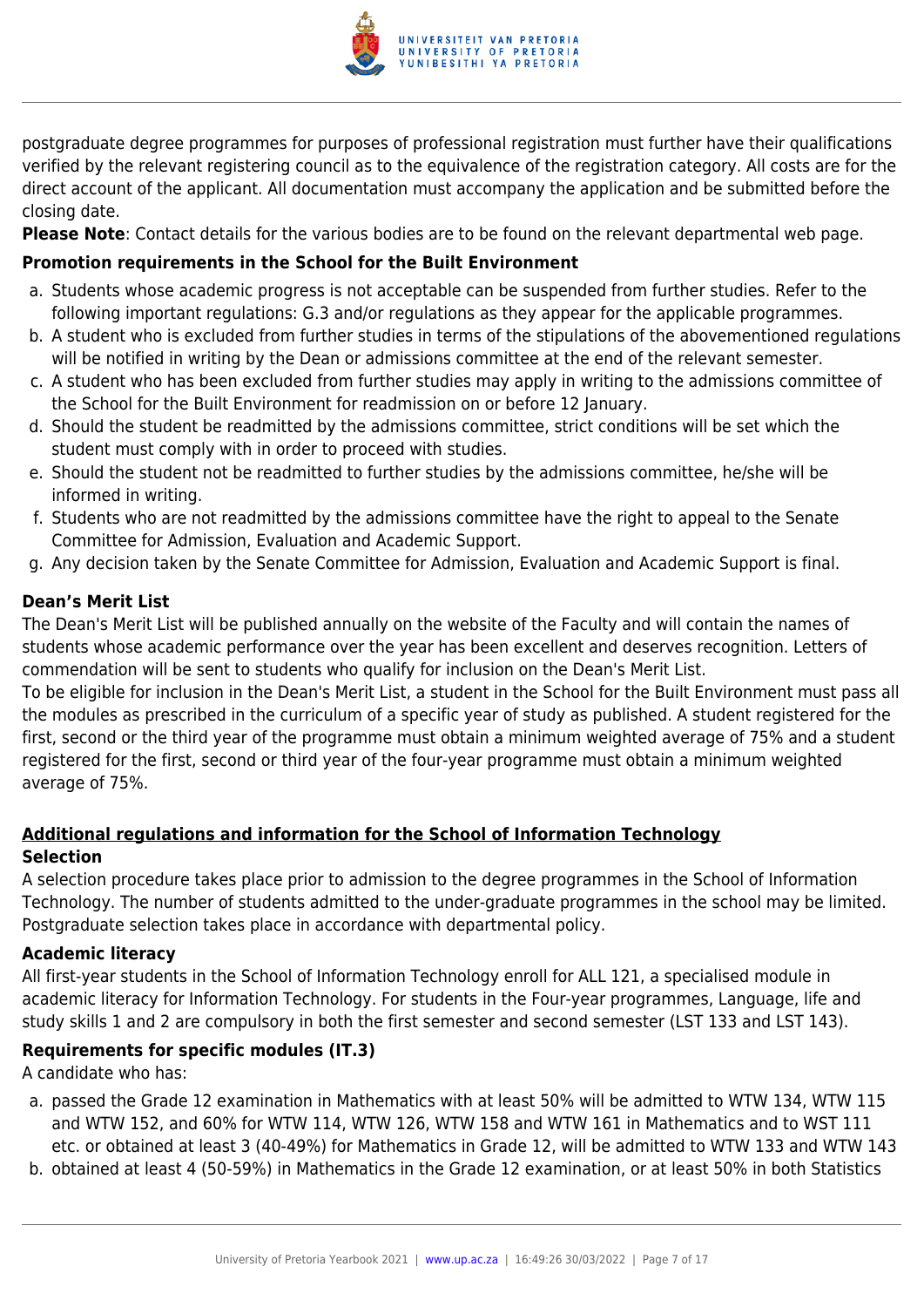

postgraduate degree programmes for purposes of professional registration must further have their qualifications verified by the relevant registering council as to the equivalence of the registration category. All costs are for the direct account of the applicant. All documentation must accompany the application and be submitted before the closing date.

**Please Note**: Contact details for the various bodies are to be found on the relevant departmental web page.

# **Promotion requirements in the School for the Built Environment**

- a. Students whose academic progress is not acceptable can be suspended from further studies. Refer to the following important regulations: G.3 and/or regulations as they appear for the applicable programmes.
- b. A student who is excluded from further studies in terms of the stipulations of the abovementioned regulations will be notified in writing by the Dean or admissions committee at the end of the relevant semester.
- c. A student who has been excluded from further studies may apply in writing to the admissions committee of the School for the Built Environment for readmission on or before 12 January.
- d. Should the student be readmitted by the admissions committee, strict conditions will be set which the student must comply with in order to proceed with studies.
- e. Should the student not be readmitted to further studies by the admissions committee, he/she will be informed in writing.
- f. Students who are not readmitted by the admissions committee have the right to appeal to the Senate Committee for Admission, Evaluation and Academic Support.
- g. Any decision taken by the Senate Committee for Admission, Evaluation and Academic Support is final.

# **Dean's Merit List**

The Dean's Merit List will be published annually on the website of the Faculty and will contain the names of students whose academic performance over the year has been excellent and deserves recognition. Letters of commendation will be sent to students who qualify for inclusion on the Dean's Merit List.

To be eligible for inclusion in the Dean's Merit List, a student in the School for the Built Environment must pass all the modules as prescribed in the curriculum of a specific year of study as published. A student registered for the first, second or the third year of the programme must obtain a minimum weighted average of 75% and a student registered for the first, second or third year of the four-year programme must obtain a minimum weighted average of 75%.

# **Additional regulations and information for the School of Information Technology Selection**

A selection procedure takes place prior to admission to the degree programmes in the School of Information Technology. The number of students admitted to the under-graduate programmes in the school may be limited. Postgraduate selection takes place in accordance with departmental policy.

#### **Academic literacy**

All first-year students in the School of Information Technology enroll for ALL 121, a specialised module in academic literacy for Information Technology. For students in the Four-year programmes, Language, life and study skills 1 and 2 are compulsory in both the first semester and second semester (LST 133 and LST 143).

# **Requirements for specific modules (IT.3)**

A candidate who has:

- a. passed the Grade 12 examination in Mathematics with at least 50% will be admitted to WTW 134, WTW 115 and WTW 152, and 60% for WTW 114, WTW 126, WTW 158 and WTW 161 in Mathematics and to WST 111 etc. or obtained at least 3 (40-49%) for Mathematics in Grade 12, will be admitted to WTW 133 and WTW 143
- b. obtained at least 4 (50-59%) in Mathematics in the Grade 12 examination, or at least 50% in both Statistics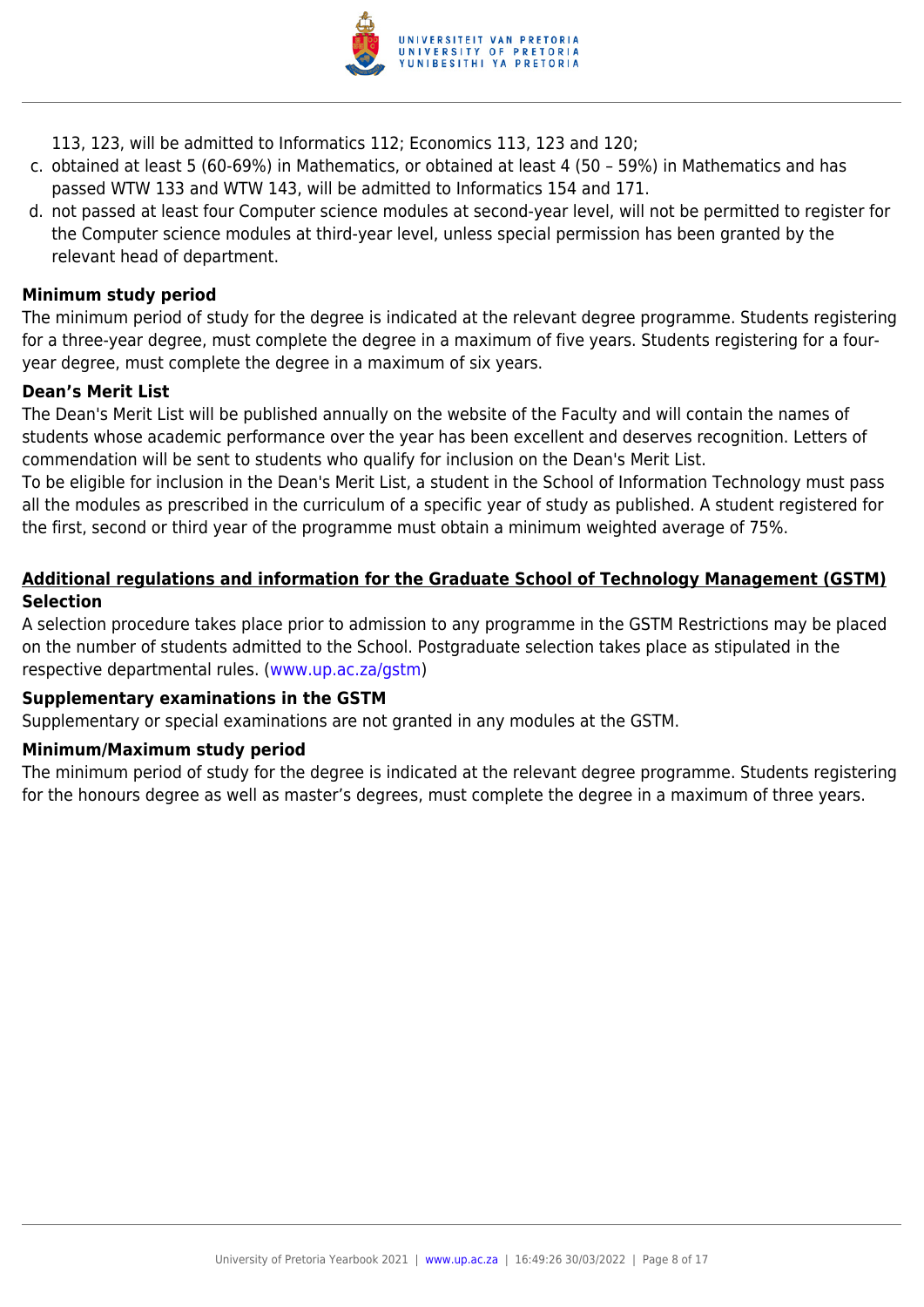

- 113, 123, will be admitted to Informatics 112; Economics 113, 123 and 120;
- c. obtained at least 5 (60-69%) in Mathematics, or obtained at least 4 (50 59%) in Mathematics and has passed WTW 133 and WTW 143, will be admitted to Informatics 154 and 171.
- d. not passed at least four Computer science modules at second-year level, will not be permitted to register for the Computer science modules at third-year level, unless special permission has been granted by the relevant head of department.

#### **Minimum study period**

The minimum period of study for the degree is indicated at the relevant degree programme. Students registering for a three-year degree, must complete the degree in a maximum of five years. Students registering for a fouryear degree, must complete the degree in a maximum of six years.

#### **Dean's Merit List**

The Dean's Merit List will be published annually on the website of the Faculty and will contain the names of students whose academic performance over the year has been excellent and deserves recognition. Letters of commendation will be sent to students who qualify for inclusion on the Dean's Merit List.

To be eligible for inclusion in the Dean's Merit List, a student in the School of Information Technology must pass all the modules as prescribed in the curriculum of a specific year of study as published. A student registered for the first, second or third year of the programme must obtain a minimum weighted average of 75%.

## **Additional regulations and information for the Graduate School of Technology Management (GSTM) Selection**

A selection procedure takes place prior to admission to any programme in the GSTM Restrictions may be placed on the number of students admitted to the School. Postgraduate selection takes place as stipulated in the respective departmental rules. [\(www.up.ac.za/gstm](http://www.up.ac.za/gstm))

#### **Supplementary examinations in the GSTM**

Supplementary or special examinations are not granted in any modules at the GSTM.

#### **Minimum/Maximum study period**

The minimum period of study for the degree is indicated at the relevant degree programme. Students registering for the honours degree as well as master's degrees, must complete the degree in a maximum of three years.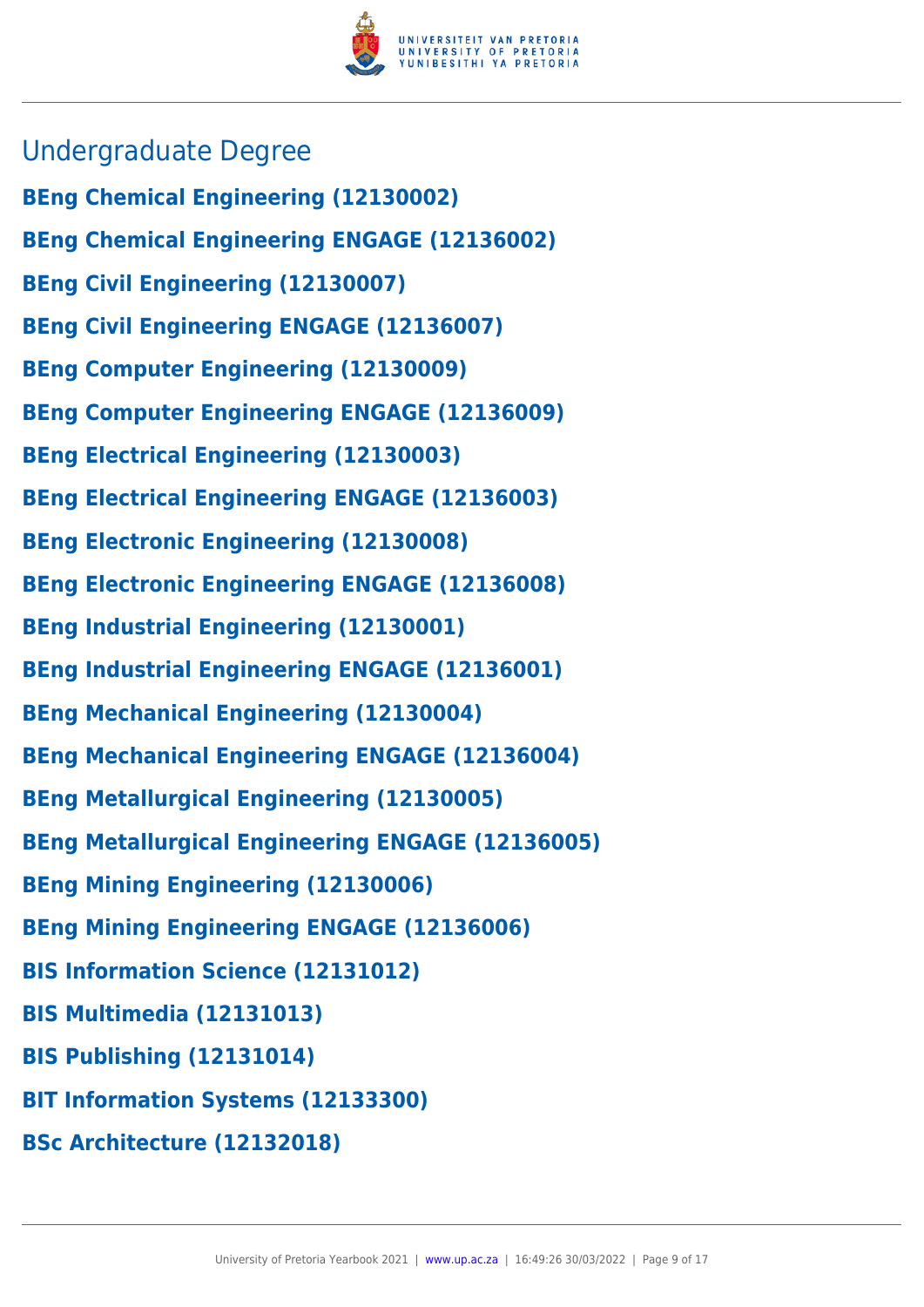

- Undergraduate Degree
- **BEng Chemical Engineering (12130002)**
- **BEng Chemical Engineering ENGAGE (12136002)**
- **BEng Civil Engineering (12130007)**
- **BEng Civil Engineering ENGAGE (12136007)**
- **BEng Computer Engineering (12130009)**
- **BEng Computer Engineering ENGAGE (12136009)**
- **BEng Electrical Engineering (12130003)**
- **BEng Electrical Engineering ENGAGE (12136003)**
- **BEng Electronic Engineering (12130008)**
- **BEng Electronic Engineering ENGAGE (12136008)**
- **BEng Industrial Engineering (12130001)**
- **BEng Industrial Engineering ENGAGE (12136001)**
- **BEng Mechanical Engineering (12130004)**
- **BEng Mechanical Engineering ENGAGE (12136004)**
- **BEng Metallurgical Engineering (12130005)**
- **BEng Metallurgical Engineering ENGAGE (12136005)**
- **BEng Mining Engineering (12130006)**
- **BEng Mining Engineering ENGAGE (12136006)**
- **BIS Information Science (12131012)**
- **BIS Multimedia (12131013)**
- **BIS Publishing (12131014)**
- **BIT Information Systems (12133300)**
- **BSc Architecture (12132018)**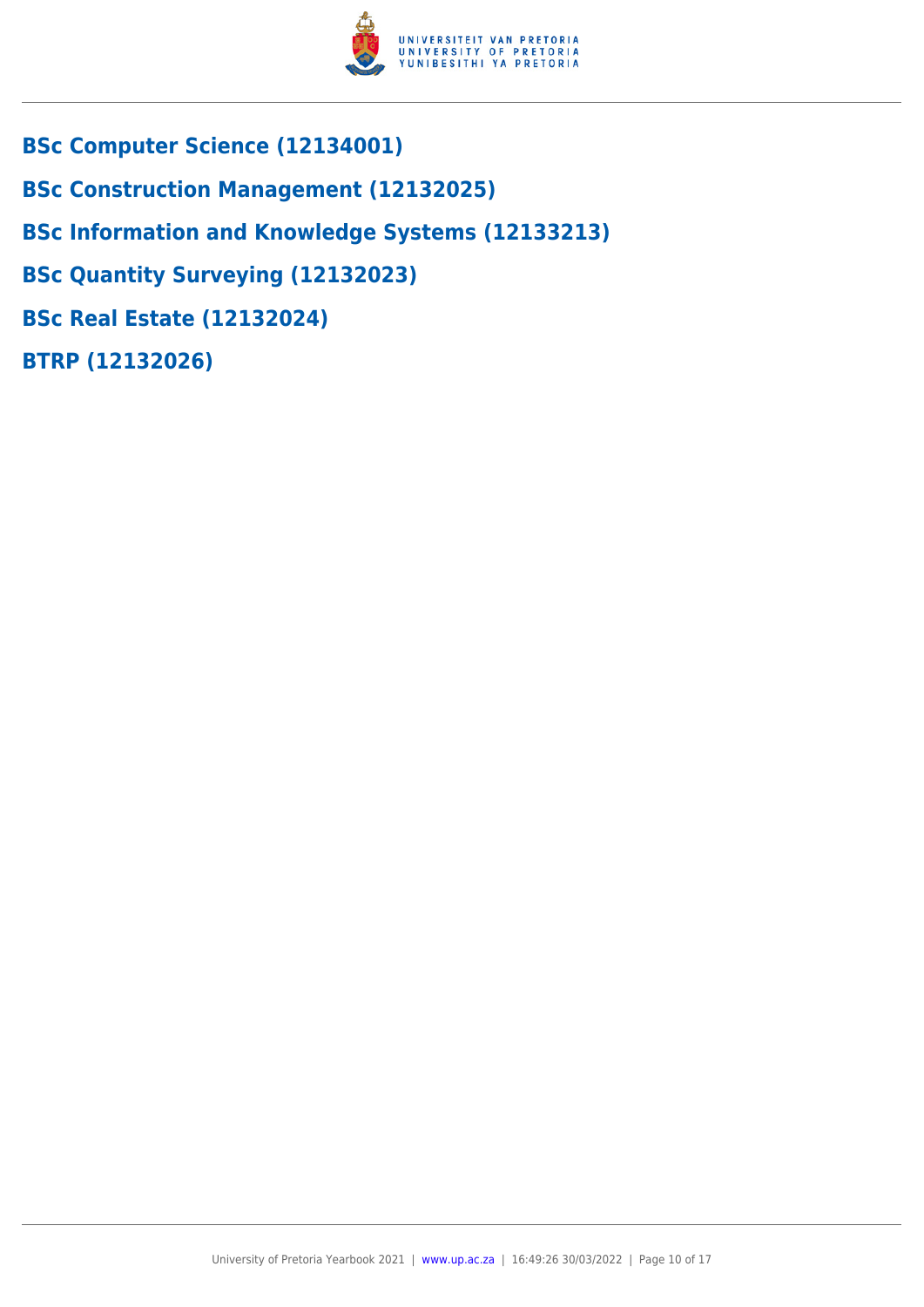

- **BSc Computer Science (12134001)**
- **BSc Construction Management (12132025)**
- **BSc Information and Knowledge Systems (12133213)**
- **BSc Quantity Surveying (12132023)**
- **BSc Real Estate (12132024)**
- **BTRP (12132026)**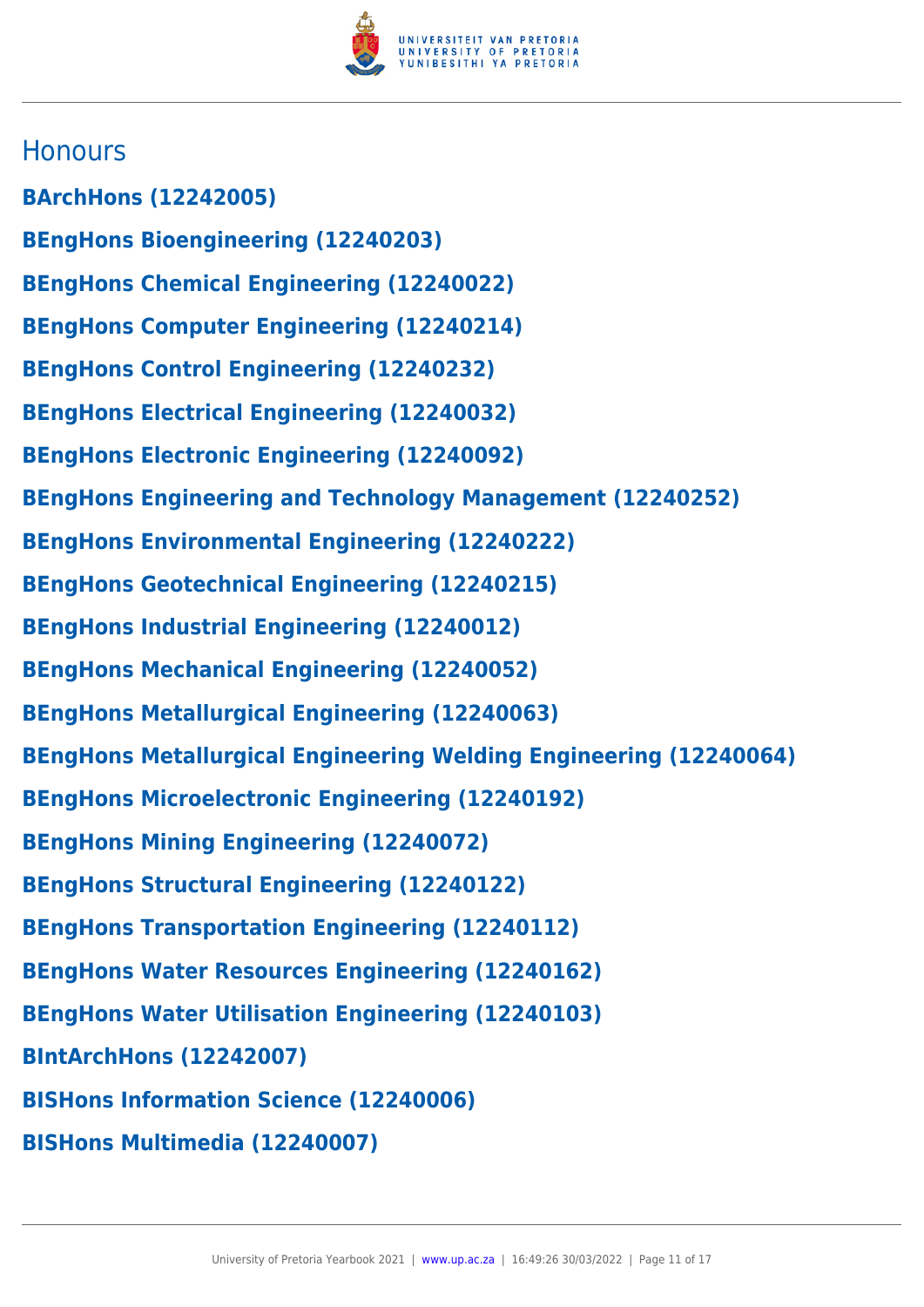

# **Honours**

**BArchHons (12242005) BEngHons Bioengineering (12240203) BEngHons Chemical Engineering (12240022) BEngHons Computer Engineering (12240214) BEngHons Control Engineering (12240232) BEngHons Electrical Engineering (12240032) BEngHons Electronic Engineering (12240092) BEngHons Engineering and Technology Management (12240252) BEngHons Environmental Engineering (12240222) BEngHons Geotechnical Engineering (12240215) BEngHons Industrial Engineering (12240012) BEngHons Mechanical Engineering (12240052) BEngHons Metallurgical Engineering (12240063) BEngHons Metallurgical Engineering Welding Engineering (12240064) BEngHons Microelectronic Engineering (12240192) BEngHons Mining Engineering (12240072) BEngHons Structural Engineering (12240122) BEngHons Transportation Engineering (12240112) BEngHons Water Resources Engineering (12240162) BEngHons Water Utilisation Engineering (12240103) BIntArchHons (12242007) BISHons Information Science (12240006) BISHons Multimedia (12240007)**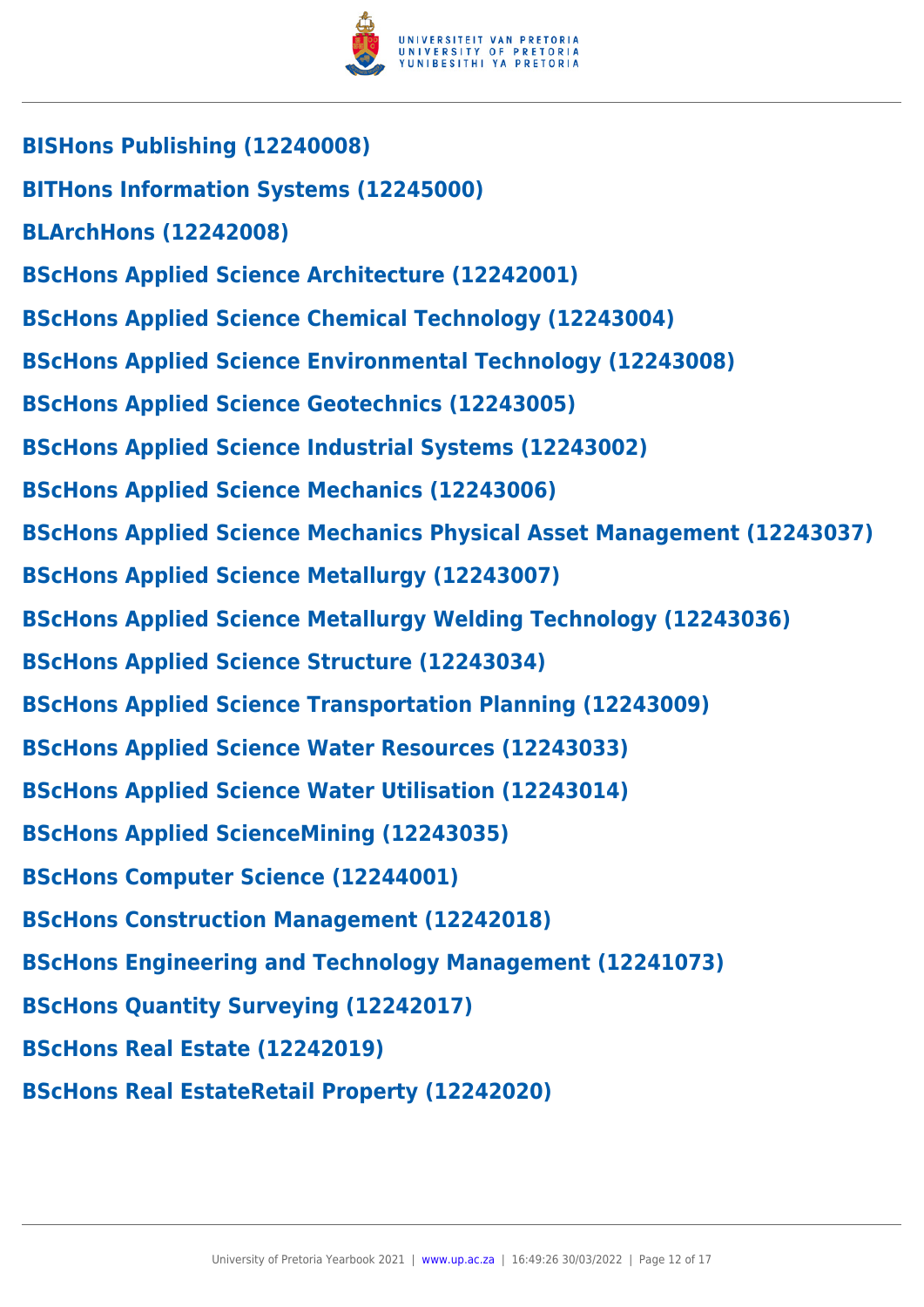

- **BISHons Publishing (12240008) BITHons Information Systems (12245000) BLArchHons (12242008) BScHons Applied Science Architecture (12242001) BScHons Applied Science Chemical Technology (12243004) BScHons Applied Science Environmental Technology (12243008) BScHons Applied Science Geotechnics (12243005) BScHons Applied Science Industrial Systems (12243002) BScHons Applied Science Mechanics (12243006) BScHons Applied Science Mechanics Physical Asset Management (12243037) BScHons Applied Science Metallurgy (12243007) BScHons Applied Science Metallurgy Welding Technology (12243036) BScHons Applied Science Structure (12243034) BScHons Applied Science Transportation Planning (12243009) BScHons Applied Science Water Resources (12243033) BScHons Applied Science Water Utilisation (12243014) BScHons Applied ScienceMining (12243035) BScHons Computer Science (12244001) BScHons Construction Management (12242018) BScHons Engineering and Technology Management (12241073) BScHons Quantity Surveying (12242017) BScHons Real Estate (12242019)**
- **BScHons Real EstateRetail Property (12242020)**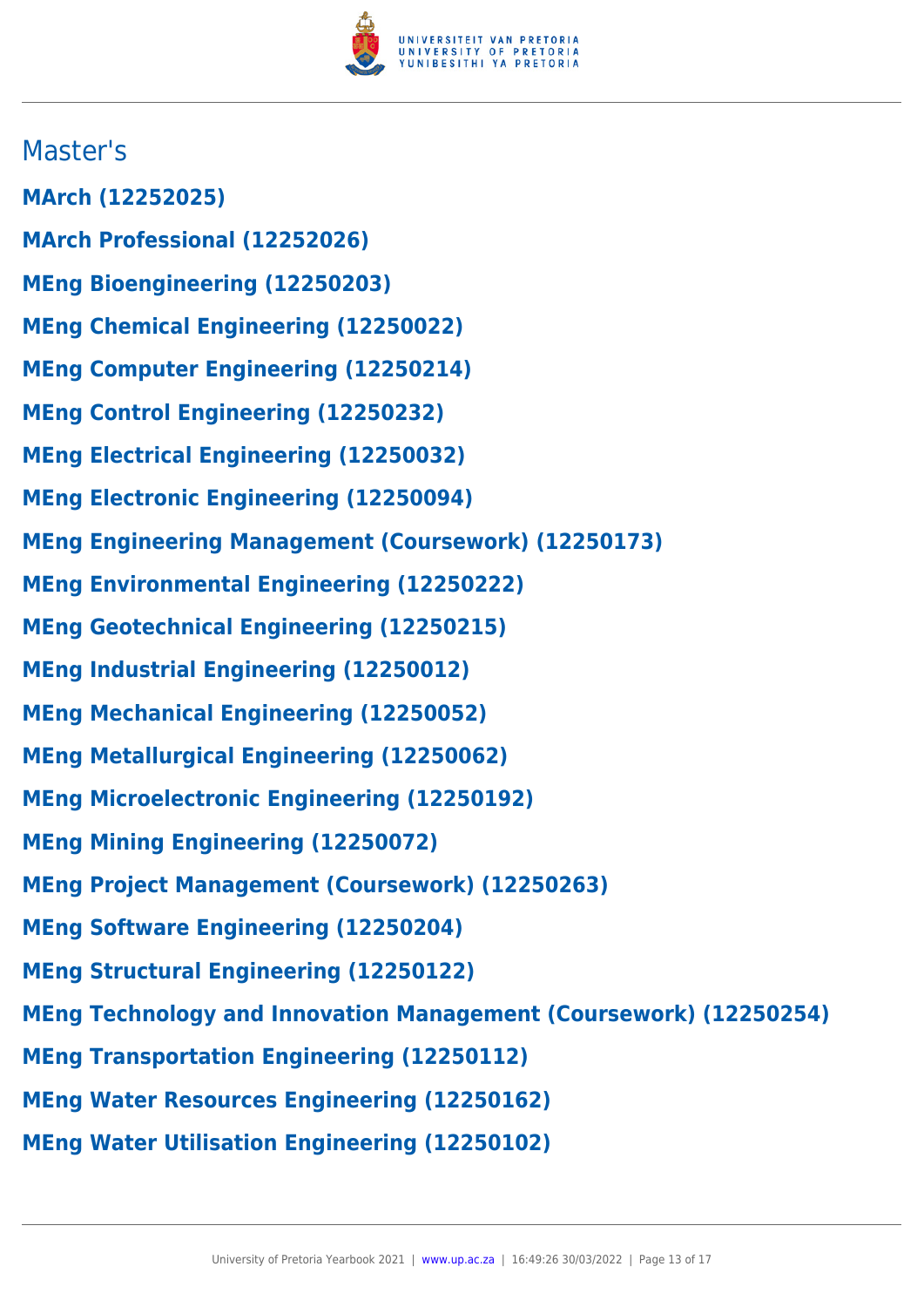

# Master's

- **MArch (12252025)**
- **MArch Professional (12252026)**
- **MEng Bioengineering (12250203)**
- **MEng Chemical Engineering (12250022)**
- **MEng Computer Engineering (12250214)**
- **MEng Control Engineering (12250232)**
- **MEng Electrical Engineering (12250032)**
- **MEng Electronic Engineering (12250094)**
- **MEng Engineering Management (Coursework) (12250173)**
- **MEng Environmental Engineering (12250222)**
- **MEng Geotechnical Engineering (12250215)**
- **MEng Industrial Engineering (12250012)**
- **MEng Mechanical Engineering (12250052)**
- **MEng Metallurgical Engineering (12250062)**
- **MEng Microelectronic Engineering (12250192)**
- **MEng Mining Engineering (12250072)**
- **MEng Project Management (Coursework) (12250263)**
- **MEng Software Engineering (12250204)**
- **MEng Structural Engineering (12250122)**
- **MEng Technology and Innovation Management (Coursework) (12250254)**
- **MEng Transportation Engineering (12250112)**
- **MEng Water Resources Engineering (12250162)**
- **MEng Water Utilisation Engineering (12250102)**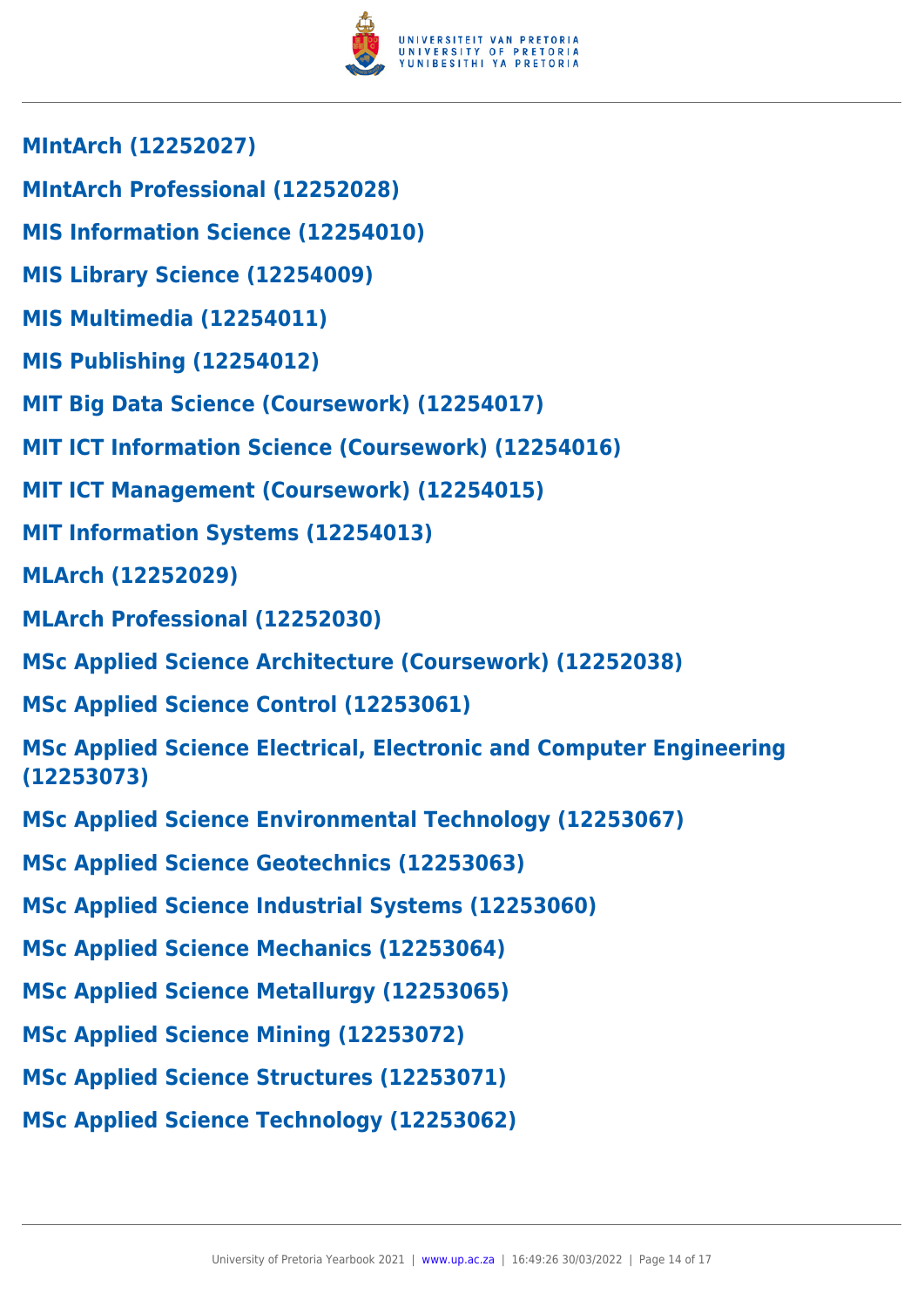

- **MIntArch (12252027)**
- **MIntArch Professional (12252028)**
- **MIS Information Science (12254010)**
- **MIS Library Science (12254009)**
- **MIS Multimedia (12254011)**
- **MIS Publishing (12254012)**
- **MIT Big Data Science (Coursework) (12254017)**
- **MIT ICT Information Science (Coursework) (12254016)**
- **MIT ICT Management (Coursework) (12254015)**
- **MIT Information Systems (12254013)**
- **MLArch (12252029)**
- **MLArch Professional (12252030)**
- **MSc Applied Science Architecture (Coursework) (12252038)**
- **MSc Applied Science Control (12253061)**
- **MSc Applied Science Electrical, Electronic and Computer Engineering (12253073)**
- **MSc Applied Science Environmental Technology (12253067)**
- **MSc Applied Science Geotechnics (12253063)**
- **MSc Applied Science Industrial Systems (12253060)**
- **MSc Applied Science Mechanics (12253064)**
- **MSc Applied Science Metallurgy (12253065)**
- **MSc Applied Science Mining (12253072)**
- **MSc Applied Science Structures (12253071)**
- **MSc Applied Science Technology (12253062)**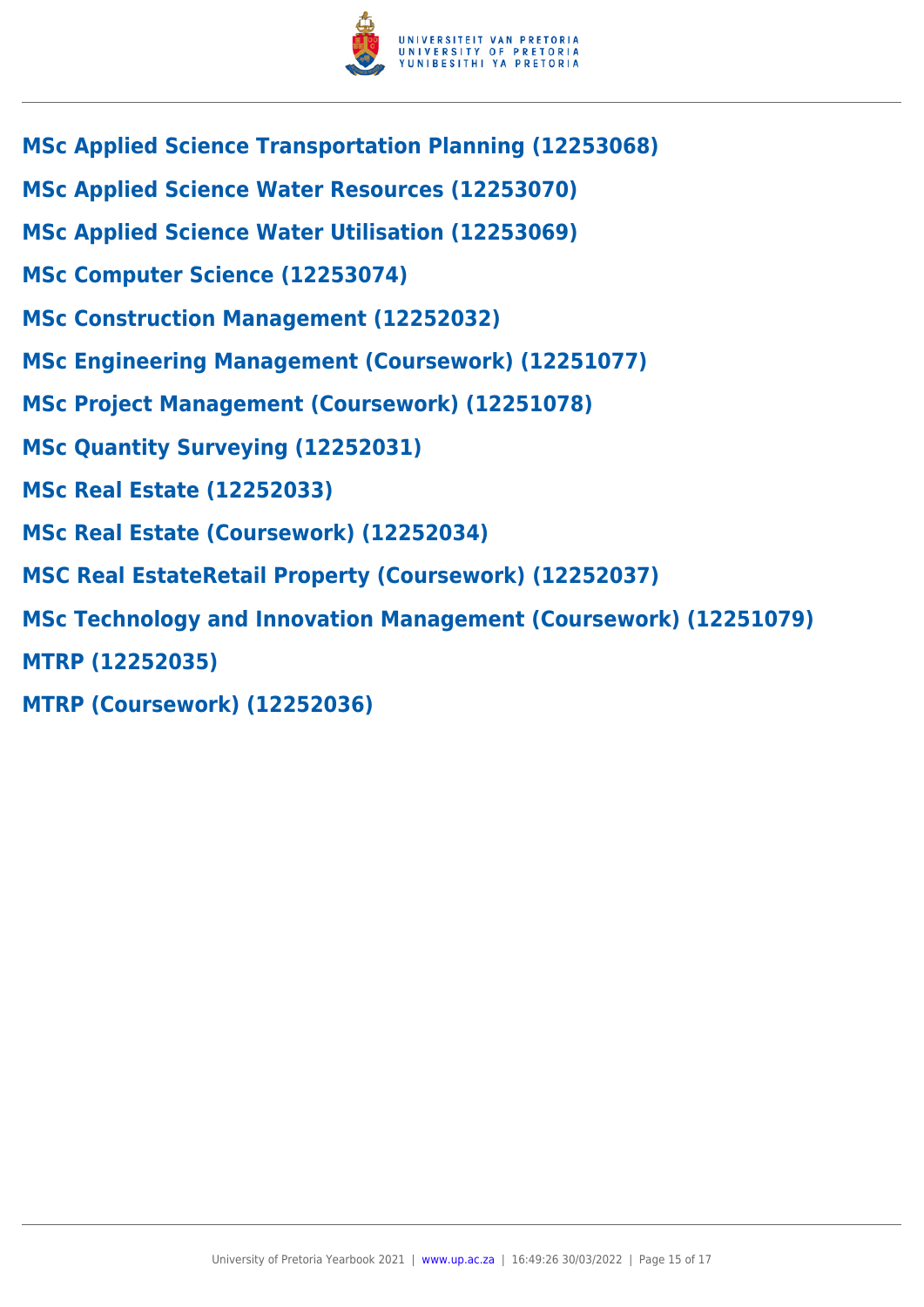

- **MSc Applied Science Transportation Planning (12253068)**
- **MSc Applied Science Water Resources (12253070)**
- **MSc Applied Science Water Utilisation (12253069)**
- **MSc Computer Science (12253074)**
- **MSc Construction Management (12252032)**
- **MSc Engineering Management (Coursework) (12251077)**
- **MSc Project Management (Coursework) (12251078)**
- **MSc Quantity Surveying (12252031)**
- **MSc Real Estate (12252033)**
- **MSc Real Estate (Coursework) (12252034)**
- **MSC Real EstateRetail Property (Coursework) (12252037)**
- **MSc Technology and Innovation Management (Coursework) (12251079)**
- **MTRP (12252035)**
- **MTRP (Coursework) (12252036)**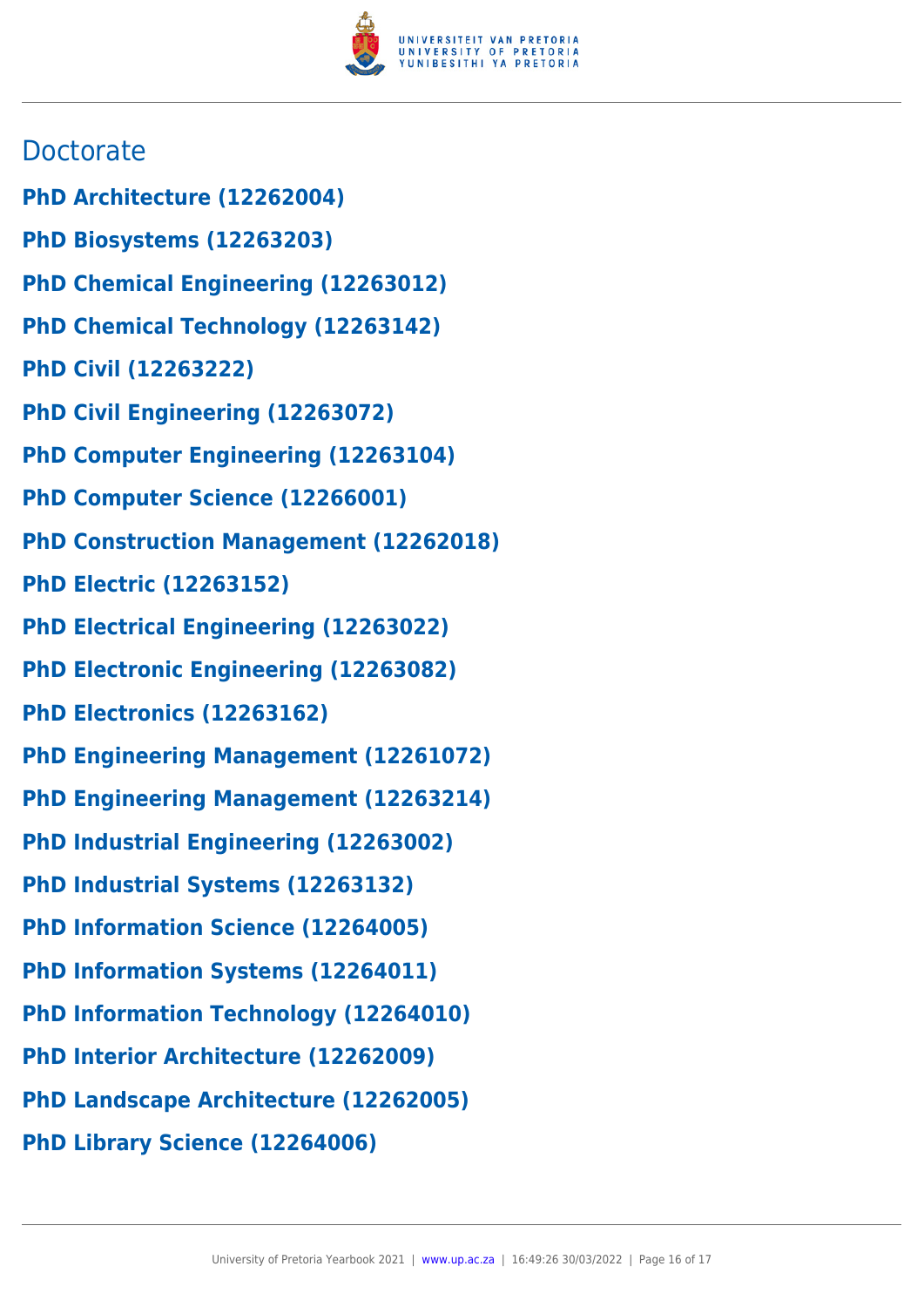

# **Doctorate**

- **PhD Architecture (12262004)**
- **PhD Biosystems (12263203)**
- **PhD Chemical Engineering (12263012)**
- **PhD Chemical Technology (12263142)**
- **PhD Civil (12263222)**
- **PhD Civil Engineering (12263072)**
- **PhD Computer Engineering (12263104)**
- **PhD Computer Science (12266001)**
- **PhD Construction Management (12262018)**
- **PhD Electric (12263152)**
- **PhD Electrical Engineering (12263022)**
- **PhD Electronic Engineering (12263082)**
- **PhD Electronics (12263162)**
- **PhD Engineering Management (12261072)**
- **PhD Engineering Management (12263214)**
- **PhD Industrial Engineering (12263002)**
- **PhD Industrial Systems (12263132)**
- **PhD Information Science (12264005)**
- **PhD Information Systems (12264011)**
- **PhD Information Technology (12264010)**
- **PhD Interior Architecture (12262009)**
- **PhD Landscape Architecture (12262005)**
- **PhD Library Science (12264006)**